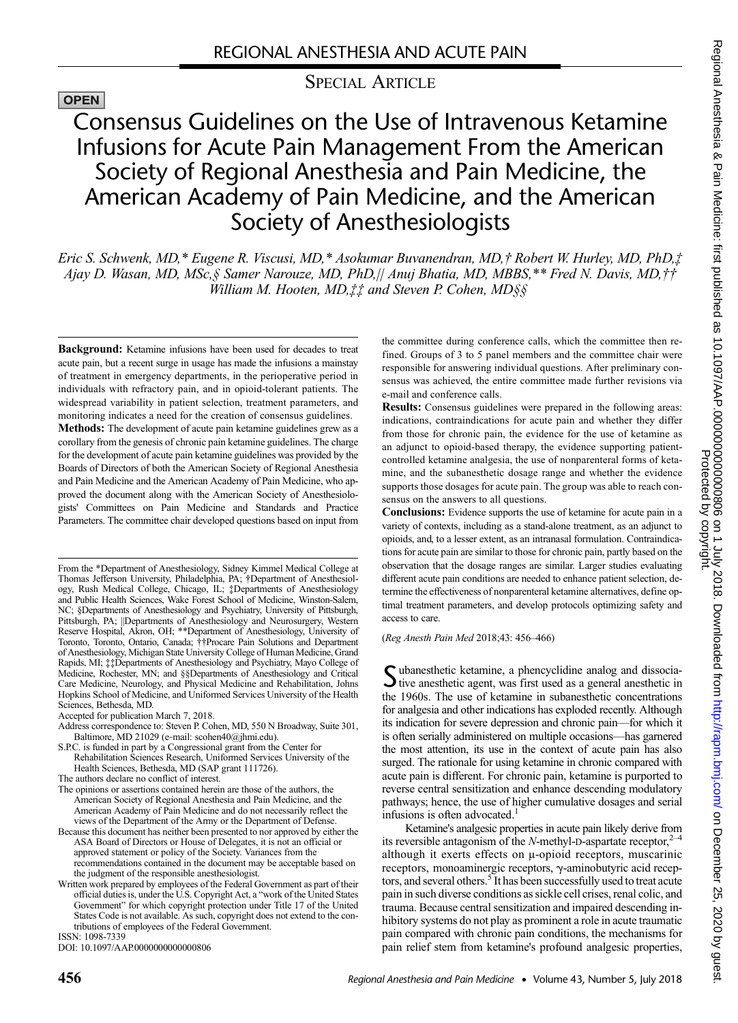## **OPEN**

SPECIAL ARTICLE

# Consensus Guidelines on the Use of Intravenous Ketamine Infusions for Acute Pain Management From the American Society of Regional Anesthesia and Pain Medicine, the American Academy of Pain Medicine, and the American Society of Anesthesiologists

Eric S. Schwenk, MD,\* Eugene R. Viscusi, MD,\* Asokumar Buvanendran, MD,† Robert W. Hurley, MD, PhD,‡ Ajay D. Wasan, MD, MSc,§ Samer Narouze, MD, PhD,|| Anuj Bhatia, MD, MBBS,\*\* Fred N. Davis, MD,†† William M. Hooten, MD,‡‡ and Steven P. Cohen, MD§§

Background: Ketamine infusions have been used for decades to treat acute pain, but a recent surge in usage has made the infusions a mainstay of treatment in emergency departments, in the perioperative period in individuals with refractory pain, and in opioid-tolerant patients. The widespread variability in patient selection, treatment parameters, and monitoring indicates a need for the creation of consensus guidelines.

Methods: The development of acute pain ketamine guidelines grew as a corollary from the genesis of chronic pain ketamine guidelines. The charge for the development of acute pain ketamine guidelines was provided by the Boards of Directors of both the American Society of Regional Anesthesia and Pain Medicine and the American Academy of Pain Medicine, who approved the document along with the American Society of Anesthesiologists' Committees on Pain Medicine and Standards and Practice Parameters. The committee chair developed questions based on input from

From the \*Department of Anesthesiology, Sidney Kimmel Medical College at Thomas Jefferson University, Philadelphia, PA; †Department of Anesthesiology, Rush Medical College, Chicago, IL; ‡Departments of Anesthesiology and Public Health Sciences, Wake Forest School of Medicine, Winston-Salem, NC; §Departments of Anesthesiology and Psychiatry, University of Pittsburgh, Pittsburgh, PA; ||Departments of Anesthesiology and Neurosurgery, Western Reserve Hospital, Akron, OH; \*\*Department of Anesthesiology, University of Toronto, Toronto, Ontario, Canada; ††Procare Pain Solutions and Department of Anesthesiology, Michigan State University College of Human Medicine, Grand Rapids, MI; ‡‡Departments of Anesthesiology and Psychiatry, Mayo College of Medicine, Rochester, MN; and §§Departments of Anesthesiology and Critical Care Medicine, Neurology, and Physical Medicine and Rehabilitation, Johns Hopkins School of Medicine, and Uniformed Services University of the Health Sciences, Bethesda, MD.

- Address correspondence to: Steven P. Cohen, MD, 550 N Broadway, Suite 301, Baltimore, MD 21029 (e-mail: [scohen40@jhmi.edu\)](mailto:scohen40@jhmi.edu).
- S.P.C. is funded in part by a Congressional grant from the Center for Rehabilitation Sciences Research, Uniformed Services University of the
- Health Sciences, Bethesda, MD (SAP grant 111726).
- The authors declare no conflict of interest.
- The opinions or assertions contained herein are those of the authors, the American Society of Regional Anesthesia and Pain Medicine, and the American Academy of Pain Medicine and do not necessarily reflect the views of the Department of the Army or the Department of Defense.
- Because this document has neither been presented to nor approved by either the ASA Board of Directors or House of Delegates, it is not an official or approved statement or policy of the Society. Variances from the recommendations contained in the document may be acceptable based on the judgment of the responsible anesthesiologist.
- Written work prepared by employees of the Federal Government as part of their official duties is, under the U.S. Copyright Act, a "work of the United States Government" for which copyright protection under Title 17 of the United States Code is not available. As such, copyright does not extend to the contributions of employees of the Federal Government.

ISSN: 1098-7339

DOI: 10.1097/AAP.0000000000000806

the committee during conference calls, which the committee then refined. Groups of 3 to 5 panel members and the committee chair were responsible for answering individual questions. After preliminary consensus was achieved, the entire committee made further revisions via e-mail and conference calls.

Results: Consensus guidelines were prepared in the following areas: indications, contraindications for acute pain and whether they differ from those for chronic pain, the evidence for the use of ketamine as an adjunct to opioid-based therapy, the evidence supporting patientcontrolled ketamine analgesia, the use of nonparenteral forms of ketamine, and the subanesthetic dosage range and whether the evidence supports those dosages for acute pain. The group was able to reach consensus on the answers to all questions.

Conclusions: Evidence supports the use of ketamine for acute pain in a variety of contexts, including as a stand-alone treatment, as an adjunct to opioids, and, to a lesser extent, as an intranasal formulation. Contraindications for acute pain are similar to those for chronic pain, partly based on the observation that the dosage ranges are similar. Larger studies evaluating different acute pain conditions are needed to enhance patient selection, determine the effectiveness of nonparenteral ketamine alternatives, define optimal treatment parameters, and develop protocols optimizing safety and access to care.

(Reg Anesth Pain Med 2018;43: 456–466)

Subanesthetic ketamine, a phencyclidine analog and dissocia-<br>tive anesthetic agent, was first used as a general anesthetic in the 1960s. The use of ketamine in subanesthetic concentrations for analgesia and other indications has exploded recently. Although its indication for severe depression and chronic pain—for which it is often serially administered on multiple occasions—has garnered the most attention, its use in the context of acute pain has also surged. The rationale for using ketamine in chronic compared with acute pain is different. For chronic pain, ketamine is purported to reverse central sensitization and enhance descending modulatory pathways; hence, the use of higher cumulative dosages and serial infusions is often advocated.<sup>1</sup>

Ketamine's analgesic properties in acute pain likely derive from its reversible antagonism of the N-methyl-D-aspartate receptor, $2^{-4}$ although it exerts effects on μ-opioid receptors, muscarinic receptors, monoaminergic receptors, γ-aminobutyric acid receptors, and several others.<sup>5</sup> It has been successfully used to treat acute pain in such diverse conditions as sickle cell crises, renal colic, and trauma. Because central sensitization and impaired descending inhibitory systems do not play as prominent a role in acute traumatic pain compared with chronic pain conditions, the mechanisms for pain relief stem from ketamine's profound analgesic properties,

Accepted for publication March 7, 2018.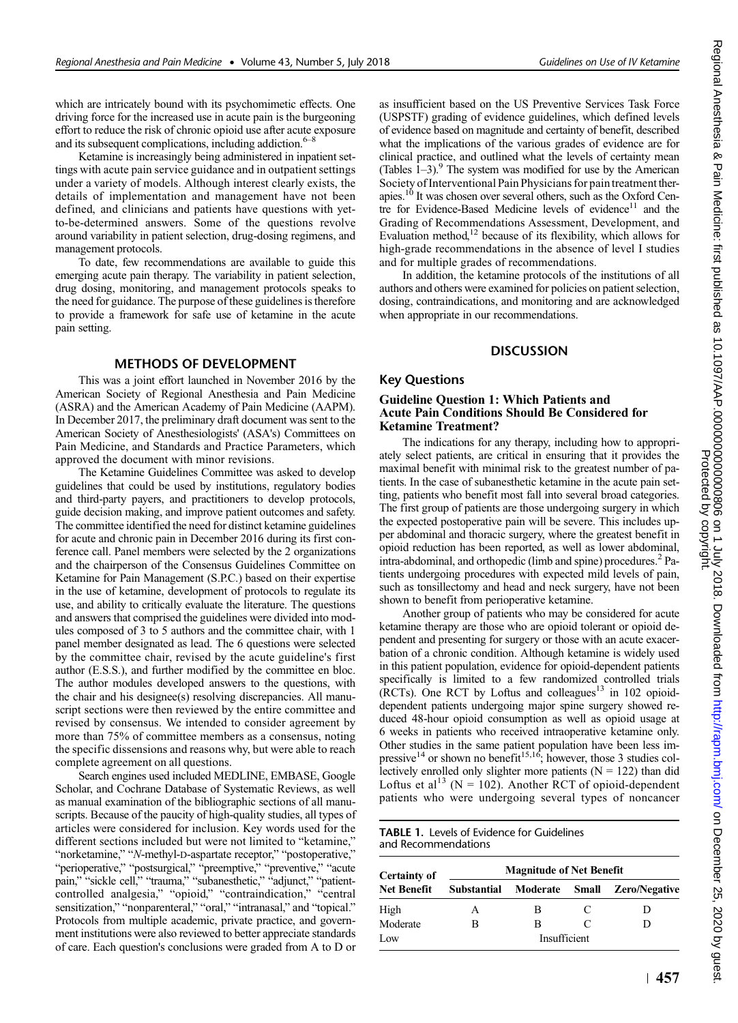Regional Anesthesia & Pain Medicine: first published as 10.1097/AAP.00000000000000000000000 n 1 July 2018. Downloaded from http://rapm.bmj.com/ on December 25, 2020 by guest<br>Protectesia & Pain Medicine: first published as on December 25, 2020 by guest. <http://rapm.bmj.com/> Regional Anesthesia & Pain Medicine: first published as 10.1097/AAP.0000000000000806 on 1 July 2018. Downloaded from Protected by copyright.

which are intricately bound with its psychomimetic effects. One driving force for the increased use in acute pain is the burgeoning effort to reduce the risk of chronic opioid use after acute exposure and its subsequent complications, including addiction. $6-8$ 

Ketamine is increasingly being administered in inpatient settings with acute pain service guidance and in outpatient settings under a variety of models. Although interest clearly exists, the details of implementation and management have not been defined, and clinicians and patients have questions with yetto-be-determined answers. Some of the questions revolve around variability in patient selection, drug-dosing regimens, and management protocols.

To date, few recommendations are available to guide this emerging acute pain therapy. The variability in patient selection, drug dosing, monitoring, and management protocols speaks to the need for guidance. The purpose of these guidelines is therefore to provide a framework for safe use of ketamine in the acute pain setting.

#### METHODS OF DEVELOPMENT

This was a joint effort launched in November 2016 by the American Society of Regional Anesthesia and Pain Medicine (ASRA) and the American Academy of Pain Medicine (AAPM). In December 2017, the preliminary draft document was sent to the American Society of Anesthesiologists' (ASA's) Committees on Pain Medicine, and Standards and Practice Parameters, which approved the document with minor revisions.

The Ketamine Guidelines Committee was asked to develop guidelines that could be used by institutions, regulatory bodies and third-party payers, and practitioners to develop protocols, guide decision making, and improve patient outcomes and safety. The committee identified the need for distinct ketamine guidelines for acute and chronic pain in December 2016 during its first conference call. Panel members were selected by the 2 organizations and the chairperson of the Consensus Guidelines Committee on Ketamine for Pain Management (S.P.C.) based on their expertise in the use of ketamine, development of protocols to regulate its use, and ability to critically evaluate the literature. The questions and answers that comprised the guidelines were divided into modules composed of 3 to 5 authors and the committee chair, with 1 panel member designated as lead. The 6 questions were selected by the committee chair, revised by the acute guideline's first author (E.S.S.), and further modified by the committee en bloc. The author modules developed answers to the questions, with the chair and his designee(s) resolving discrepancies. All manuscript sections were then reviewed by the entire committee and revised by consensus. We intended to consider agreement by more than 75% of committee members as a consensus, noting the specific dissensions and reasons why, but were able to reach complete agreement on all questions.

Search engines used included MEDLINE, EMBASE, Google Scholar, and Cochrane Database of Systematic Reviews, as well as manual examination of the bibliographic sections of all manuscripts. Because of the paucity of high-quality studies, all types of articles were considered for inclusion. Key words used for the different sections included but were not limited to "ketamine," "norketamine," "N-methyl-D-aspartate receptor," "postoperative," "perioperative," "postsurgical," "preemptive," "preventive," "acute pain," "sickle cell," "trauma," "subanesthetic," "adjunct," "patientcontrolled analgesia," "opioid," "contraindication," "central sensitization," "nonparenteral," "oral," "intranasal," and "topical." Protocols from multiple academic, private practice, and government institutions were also reviewed to better appreciate standards of care. Each question's conclusions were graded from A to D or as insufficient based on the US Preventive Services Task Force (USPSTF) grading of evidence guidelines, which defined levels of evidence based on magnitude and certainty of benefit, described what the implications of the various grades of evidence are for clinical practice, and outlined what the levels of certainty mean (Tables  $1-3$ ).<sup>9</sup> The system was modified for use by the American Society of Interventional Pain Physicians for pain treatment therapies.10 It was chosen over several others, such as the Oxford Centre for Evidence-Based Medicine levels of evidence<sup>11</sup> and the Grading of Recommendations Assessment, Development, and Evaluation method, $12$  because of its flexibility, which allows for high-grade recommendations in the absence of level I studies and for multiple grades of recommendations.

In addition, the ketamine protocols of the institutions of all authors and others were examined for policies on patient selection, dosing, contraindications, and monitoring and are acknowledged when appropriate in our recommendations.

#### **DISCUSSION**

#### Key Questions

#### Guideline Question 1: Which Patients and Acute Pain Conditions Should Be Considered for Ketamine Treatment?

The indications for any therapy, including how to appropriately select patients, are critical in ensuring that it provides the maximal benefit with minimal risk to the greatest number of patients. In the case of subanesthetic ketamine in the acute pain setting, patients who benefit most fall into several broad categories. The first group of patients are those undergoing surgery in which the expected postoperative pain will be severe. This includes upper abdominal and thoracic surgery, where the greatest benefit in opioid reduction has been reported, as well as lower abdominal, intra-abdominal, and orthopedic (limb and spine) procedures.<sup>2</sup> Patients undergoing procedures with expected mild levels of pain, such as tonsillectomy and head and neck surgery, have not been shown to benefit from perioperative ketamine.

Another group of patients who may be considered for acute ketamine therapy are those who are opioid tolerant or opioid dependent and presenting for surgery or those with an acute exacerbation of a chronic condition. Although ketamine is widely used in this patient population, evidence for opioid-dependent patients specifically is limited to a few randomized controlled trials (RCTs). One RCT by Loftus and colleagues $13$  in 102 opioiddependent patients undergoing major spine surgery showed reduced 48-hour opioid consumption as well as opioid usage at 6 weeks in patients who received intraoperative ketamine only. Other studies in the same patient population have been less im-<br>pressive<sup>14</sup> or shown no benefit<sup>15,16</sup>; however, those 3 studies collectively enrolled only slighter more patients  $(N = 122)$  than did Loftus et al<sup>13</sup> (N = 102). Another RCT of opioid-dependent patients who were undergoing several types of noncancer

#### TABLE 1. Levels of Evidence for Guidelines and Recommendations

| <b>Certainty of</b> | <b>Magnitude of Net Benefit</b> |          |       |               |
|---------------------|---------------------------------|----------|-------|---------------|
| <b>Net Benefit</b>  | <b>Substantial</b>              | Moderate | Small | Zero/Negative |
| High                | А                               | в        |       | Ð             |
| Moderate            | в                               | в        |       | Ð             |
| Low                 | Insufficient                    |          |       |               |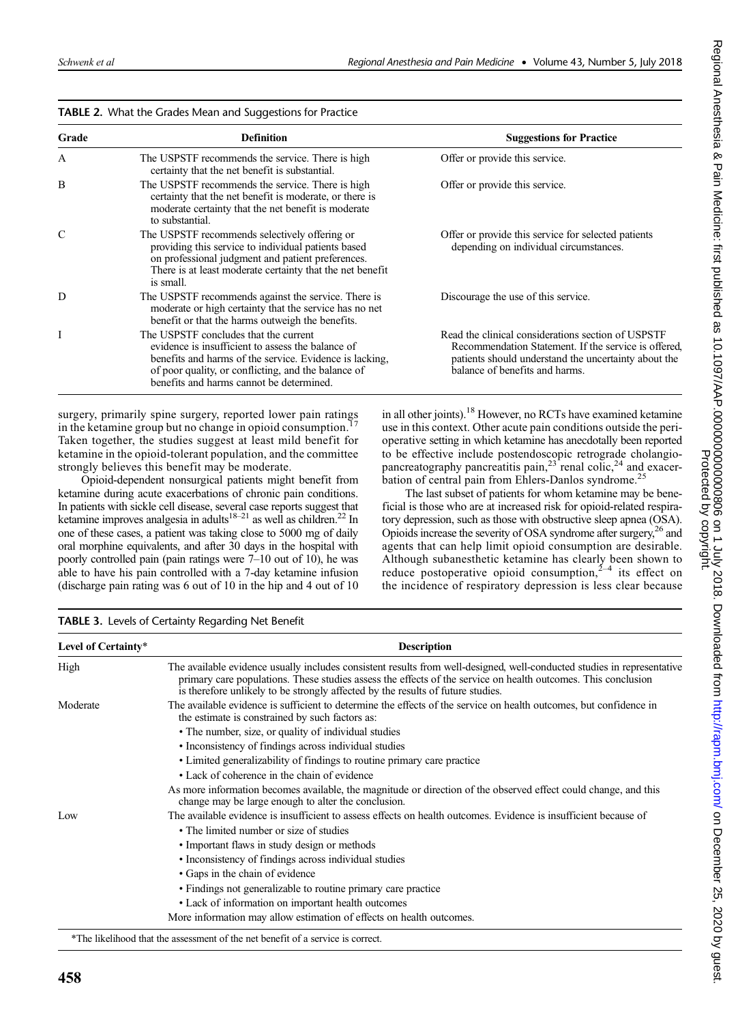|       | <b>TABLE 2.</b> What the Grades Mean and Suggestions for Fractice                                                                                                                                                                                        |                                                                                                                                                                                                      |
|-------|----------------------------------------------------------------------------------------------------------------------------------------------------------------------------------------------------------------------------------------------------------|------------------------------------------------------------------------------------------------------------------------------------------------------------------------------------------------------|
| Grade | <b>Definition</b>                                                                                                                                                                                                                                        | <b>Suggestions for Practice</b>                                                                                                                                                                      |
| A     | The USPSTF recommends the service. There is high<br>certainty that the net benefit is substantial.                                                                                                                                                       | Offer or provide this service.                                                                                                                                                                       |
| B     | The USPSTF recommends the service. There is high<br>certainty that the net benefit is moderate, or there is<br>moderate certainty that the net benefit is moderate<br>to substantial.                                                                    | Offer or provide this service.                                                                                                                                                                       |
| C     | The USPSTF recommends selectively offering or<br>providing this service to individual patients based<br>on professional judgment and patient preferences.<br>There is at least moderate certainty that the net benefit<br>is small.                      | Offer or provide this service for selected patients<br>depending on individual circumstances.                                                                                                        |
| D     | The USPSTF recommends against the service. There is<br>moderate or high certainty that the service has no net<br>benefit or that the harms outweigh the benefits.                                                                                        | Discourage the use of this service.                                                                                                                                                                  |
| T     | The USPSTF concludes that the current<br>evidence is insufficient to assess the balance of<br>benefits and harms of the service. Evidence is lacking,<br>of poor quality, or conflicting, and the balance of<br>benefits and harms cannot be determined. | Read the clinical considerations section of USPSTF<br>Recommendation Statement. If the service is offered.<br>patients should understand the uncertainty about the<br>balance of benefits and harms. |

TABLE 2. What the Grades Mean and Suggestions for Practice

surgery, primarily spine surgery, reported lower pain ratings in the ketamine group but no change in opioid consumption.<sup>1</sup> Taken together, the studies suggest at least mild benefit for ketamine in the opioid-tolerant population, and the committee strongly believes this benefit may be moderate.

Opioid-dependent nonsurgical patients might benefit from ketamine during acute exacerbations of chronic pain conditions. In patients with sickle cell disease, several case reports suggest that ketamine improves analgesia in adults<sup>18–21</sup> as well as children.<sup>22</sup> In one of these cases, a patient was taking close to 5000 mg of daily oral morphine equivalents, and after 30 days in the hospital with poorly controlled pain (pain ratings were 7–10 out of 10), he was able to have his pain controlled with a 7-day ketamine infusion (discharge pain rating was 6 out of 10 in the hip and 4 out of 10 in all other joints).18 However, no RCTs have examined ketamine use in this context. Other acute pain conditions outside the perioperative setting in which ketamine has anecdotally been reported to be effective include postendoscopic retrograde cholangiopancreatography pancreatitis pain,<sup>23</sup> renal colic,<sup>24</sup> and exacerbation of central pain from Ehlers-Danlos syndrome.<sup>25</sup>

The last subset of patients for whom ketamine may be beneficial is those who are at increased risk for opioid-related respiratory depression, such as those with obstructive sleep apnea (OSA). Opioids increase the severity of OSA syndrome after surgery,<sup>26</sup> and agents that can help limit opioid consumption are desirable. Although subanesthetic ketamine has clearly been shown to reduce postoperative opioid consumption, $2^{-4}$  its effect on the incidence of respiratory depression is less clear because

|  |  |  |  | TABLE 3. Levels of Certainty Regarding Net Benefit |  |  |
|--|--|--|--|----------------------------------------------------|--|--|
|--|--|--|--|----------------------------------------------------|--|--|

| Level of Certainty* | <b>Description</b>                                                                                                                                                                                                                                                                                                          |
|---------------------|-----------------------------------------------------------------------------------------------------------------------------------------------------------------------------------------------------------------------------------------------------------------------------------------------------------------------------|
| High                | The available evidence usually includes consistent results from well-designed, well-conducted studies in representative<br>primary care populations. These studies assess the effects of the service on health outcomes. This conclusion<br>is therefore unlikely to be strongly affected by the results of future studies. |
| Moderate            | The available evidence is sufficient to determine the effects of the service on health outcomes, but confidence in<br>the estimate is constrained by such factors as:                                                                                                                                                       |
|                     | • The number, size, or quality of individual studies                                                                                                                                                                                                                                                                        |
|                     | • Inconsistency of findings across individual studies                                                                                                                                                                                                                                                                       |
|                     | • Limited generalizability of findings to routine primary care practice                                                                                                                                                                                                                                                     |
|                     | • Lack of coherence in the chain of evidence                                                                                                                                                                                                                                                                                |
|                     | As more information becomes available, the magnitude or direction of the observed effect could change, and this<br>change may be large enough to alter the conclusion.                                                                                                                                                      |
| Low                 | The available evidence is insufficient to assess effects on health outcomes. Evidence is insufficient because of                                                                                                                                                                                                            |
|                     | • The limited number or size of studies                                                                                                                                                                                                                                                                                     |
|                     | • Important flaws in study design or methods                                                                                                                                                                                                                                                                                |
|                     | • Inconsistency of findings across individual studies                                                                                                                                                                                                                                                                       |
|                     | • Gaps in the chain of evidence                                                                                                                                                                                                                                                                                             |
|                     | • Findings not generalizable to routine primary care practice                                                                                                                                                                                                                                                               |
|                     | • Lack of information on important health outcomes                                                                                                                                                                                                                                                                          |
|                     | More information may allow estimation of effects on health outcomes.                                                                                                                                                                                                                                                        |
|                     | *The likelihood that the assessment of the net benefit of a service is correct.                                                                                                                                                                                                                                             |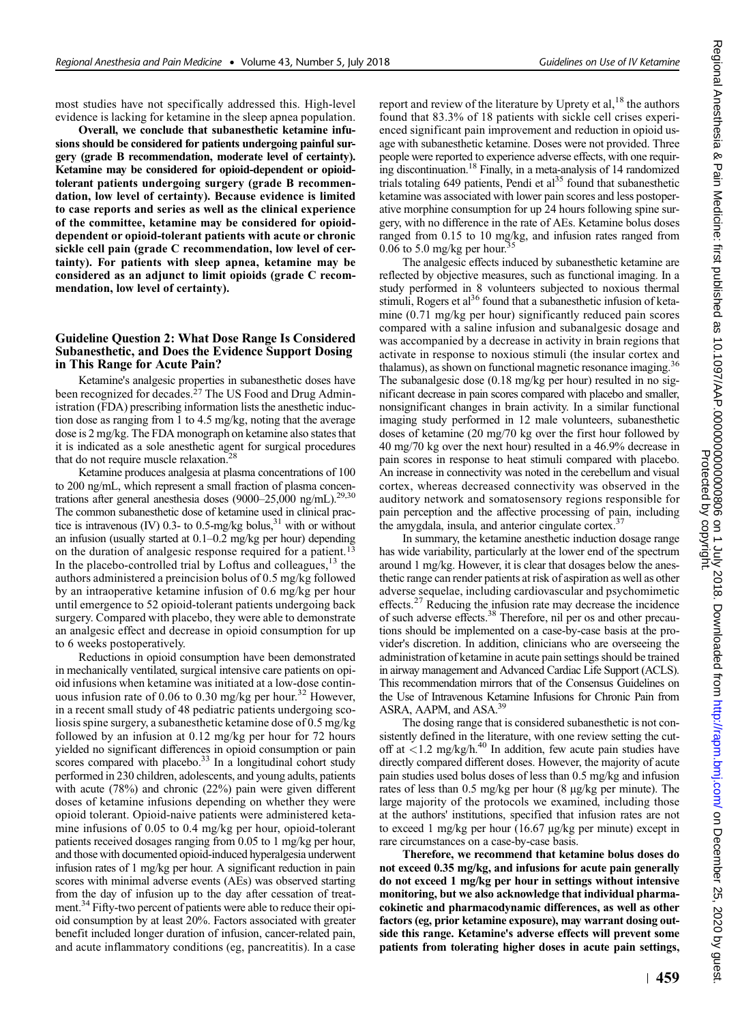most studies have not specifically addressed this. High-level evidence is lacking for ketamine in the sleep apnea population.

Overall, we conclude that subanesthetic ketamine infusions should be considered for patients undergoing painful surgery (grade B recommendation, moderate level of certainty). Ketamine may be considered for opioid-dependent or opioidtolerant patients undergoing surgery (grade B recommendation, low level of certainty). Because evidence is limited to case reports and series as well as the clinical experience of the committee, ketamine may be considered for opioiddependent or opioid-tolerant patients with acute or chronic sickle cell pain (grade C recommendation, low level of certainty). For patients with sleep apnea, ketamine may be considered as an adjunct to limit opioids (grade C recommendation, low level of certainty).

#### Guideline Question 2: What Dose Range Is Considered Subanesthetic, and Does the Evidence Support Dosing in This Range for Acute Pain?

Ketamine's analgesic properties in subanesthetic doses have been recognized for decades.<sup>27</sup> The US Food and Drug Administration (FDA) prescribing information lists the anesthetic induction dose as ranging from 1 to 4.5 mg/kg, noting that the average dose is 2 mg/kg. The FDA monograph on ketamine also states that it is indicated as a sole anesthetic agent for surgical procedures that do not require muscle relaxation.<sup>2</sup>

Ketamine produces analgesia at plasma concentrations of 100 to 200 ng/mL, which represent a small fraction of plasma concentrations after general anesthesia doses (9000–25,000 ng/mL).<sup>29,30</sup> The common subanesthetic dose of ketamine used in clinical practice is intravenous (IV) 0.3- to 0.5-mg/kg bolus, $31$  with or without an infusion (usually started at 0.1–0.2 mg/kg per hour) depending on the duration of analgesic response required for a patient.13 In the placebo-controlled trial by Loftus and colleagues,<sup>13</sup> the authors administered a preincision bolus of 0.5 mg/kg followed by an intraoperative ketamine infusion of 0.6 mg/kg per hour until emergence to 52 opioid-tolerant patients undergoing back surgery. Compared with placebo, they were able to demonstrate an analgesic effect and decrease in opioid consumption for up to 6 weeks postoperatively.

Reductions in opioid consumption have been demonstrated in mechanically ventilated, surgical intensive care patients on opioid infusions when ketamine was initiated at a low-dose continuous infusion rate of 0.06 to 0.30 mg/kg per hour.<sup>32</sup> However, in a recent small study of 48 pediatric patients undergoing scoliosis spine surgery, a subanesthetic ketamine dose of 0.5 mg/kg followed by an infusion at 0.12 mg/kg per hour for 72 hours yielded no significant differences in opioid consumption or pain scores compared with placebo. $33$  In a longitudinal cohort study performed in 230 children, adolescents, and young adults, patients with acute (78%) and chronic (22%) pain were given different doses of ketamine infusions depending on whether they were opioid tolerant. Opioid-naive patients were administered ketamine infusions of 0.05 to 0.4 mg/kg per hour, opioid-tolerant patients received dosages ranging from 0.05 to 1 mg/kg per hour, and those with documented opioid-induced hyperalgesia underwent infusion rates of 1 mg/kg per hour. A significant reduction in pain scores with minimal adverse events (AEs) was observed starting from the day of infusion up to the day after cessation of treatment.<sup>34</sup> Fifty-two percent of patients were able to reduce their opioid consumption by at least 20%. Factors associated with greater benefit included longer duration of infusion, cancer-related pain, and acute inflammatory conditions (eg, pancreatitis). In a case

report and review of the literature by Uprety et  $al<sub>1</sub><sup>18</sup>$  the authors found that 83.3% of 18 patients with sickle cell crises experienced significant pain improvement and reduction in opioid usage with subanesthetic ketamine. Doses were not provided. Three people were reported to experience adverse effects, with one requiring discontinuation.18 Finally, in a meta-analysis of 14 randomized trials totaling 649 patients, Pendi et al<sup>35</sup> found that subanesthetic ketamine was associated with lower pain scores and less postoperative morphine consumption for up 24 hours following spine surgery, with no difference in the rate of AEs. Ketamine bolus doses ranged from 0.15 to 10 mg/kg, and infusion rates ranged from 0.06 to 5.0 mg/kg per hour. $\frac{3}{5}$ 

The analgesic effects induced by subanesthetic ketamine are reflected by objective measures, such as functional imaging. In a study performed in 8 volunteers subjected to noxious thermal stimuli, Rogers et al<sup>36</sup> found that a subanesthetic infusion of ketamine (0.71 mg/kg per hour) significantly reduced pain scores compared with a saline infusion and subanalgesic dosage and was accompanied by a decrease in activity in brain regions that activate in response to noxious stimuli (the insular cortex and thalamus), as shown on functional magnetic resonance imaging.<sup>36</sup> The subanalgesic dose (0.18 mg/kg per hour) resulted in no significant decrease in pain scores compared with placebo and smaller, nonsignificant changes in brain activity. In a similar functional imaging study performed in 12 male volunteers, subanesthetic doses of ketamine (20 mg/70 kg over the first hour followed by 40 mg/70 kg over the next hour) resulted in a 46.9% decrease in pain scores in response to heat stimuli compared with placebo. An increase in connectivity was noted in the cerebellum and visual cortex, whereas decreased connectivity was observed in the auditory network and somatosensory regions responsible for pain perception and the affective processing of pain, including the amygdala, insula, and anterior cingulate cortex. $\frac{3}{2}$ 

In summary, the ketamine anesthetic induction dosage range has wide variability, particularly at the lower end of the spectrum around 1 mg/kg. However, it is clear that dosages below the anesthetic range can render patients at risk of aspiration as well as other adverse sequelae, including cardiovascular and psychomimetic effects.<sup>27</sup> Reducing the infusion rate may decrease the incidence of such adverse effects.38 Therefore, nil per os and other precautions should be implemented on a case-by-case basis at the provider's discretion. In addition, clinicians who are overseeing the administration of ketamine in acute pain settings should be trained in airway management and Advanced Cardiac Life Support (ACLS). This recommendation mirrors that of the Consensus Guidelines on the Use of Intravenous Ketamine Infusions for Chronic Pain from ASRA, AAPM, and ASA.<sup>3</sup>

The dosing range that is considered subanesthetic is not consistently defined in the literature, with one review setting the cutoff at  $\langle 1.2 \text{ mg/kg/h}^{40}$  In addition, few acute pain studies have directly compared different doses. However, the majority of acute pain studies used bolus doses of less than 0.5 mg/kg and infusion rates of less than 0.5 mg/kg per hour (8 μg/kg per minute). The large majority of the protocols we examined, including those at the authors' institutions, specified that infusion rates are not to exceed 1 mg/kg per hour (16.67 μg/kg per minute) except in rare circumstances on a case-by-case basis.

Therefore, we recommend that ketamine bolus doses do not exceed 0.35 mg/kg, and infusions for acute pain generally do not exceed 1 mg/kg per hour in settings without intensive monitoring, but we also acknowledge that individual pharmacokinetic and pharmacodynamic differences, as well as other factors (eg, prior ketamine exposure), may warrant dosing outside this range. Ketamine's adverse effects will prevent some patients from tolerating higher doses in acute pain settings,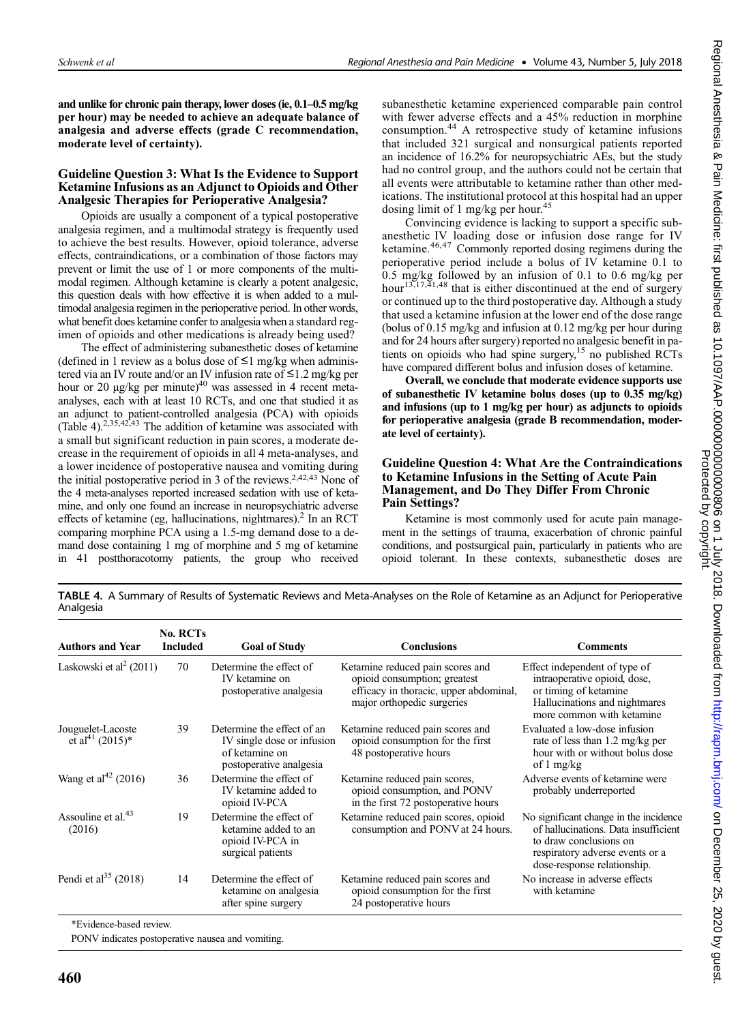and unlike for chronic pain therapy, lower doses (ie, 0.1–0.5 mg/kg per hour) may be needed to achieve an adequate balance of analgesia and adverse effects (grade C recommendation, moderate level of certainty).

#### Guideline Question 3: What Is the Evidence to Support Ketamine Infusions as an Adjunct to Opioids and Other Analgesic Therapies for Perioperative Analgesia?

Opioids are usually a component of a typical postoperative analgesia regimen, and a multimodal strategy is frequently used to achieve the best results. However, opioid tolerance, adverse effects, contraindications, or a combination of those factors may prevent or limit the use of 1 or more components of the multimodal regimen. Although ketamine is clearly a potent analgesic, this question deals with how effective it is when added to a multimodal analgesia regimen in the perioperative period. In other words, what benefit does ketamine confer to analgesia when a standard regimen of opioids and other medications is already being used?

The effect of administering subanesthetic doses of ketamine (defined in 1 review as a bolus dose of  $\leq 1$  mg/kg when administered via an IV route and/or an IV infusion rate of  $\leq 1.2$  mg/kg per hour or 20 μg/kg per minute)<sup>40</sup> was assessed in 4 recent metaanalyses, each with at least 10 RCTs, and one that studied it as an adjunct to patient-controlled analgesia (PCA) with opioids (Table 4).<sup>2,35,42,43</sup> The addition of ketamine was associated with a small but significant reduction in pain scores, a moderate decrease in the requirement of opioids in all 4 meta-analyses, and a lower incidence of postoperative nausea and vomiting during the initial postoperative period in 3 of the reviews.<sup>2,42,43</sup> None of the 4 meta-analyses reported increased sedation with use of ketamine, and only one found an increase in neuropsychiatric adverse effects of ketamine (eg, hallucinations, nightmares). $<sup>2</sup>$  In an RCT</sup> comparing morphine PCA using a 1.5-mg demand dose to a demand dose containing 1 mg of morphine and 5 mg of ketamine in 41 postthoracotomy patients, the group who received

subanesthetic ketamine experienced comparable pain control with fewer adverse effects and a 45% reduction in morphine consumption.<sup>44</sup> A retrospective study of ketamine infusions that included 321 surgical and nonsurgical patients reported an incidence of 16.2% for neuropsychiatric AEs, but the study had no control group, and the authors could not be certain that all events were attributable to ketamine rather than other medications. The institutional protocol at this hospital had an upper dosing limit of 1 mg/kg per hour.<sup>45</sup>

Convincing evidence is lacking to support a specific subanesthetic IV loading dose or infusion dose range for IV ketamine.<sup>46,47</sup> Commonly reported dosing regimens during the perioperative period include a bolus of IV ketamine 0.1 to 0.5 mg/kg followed by an infusion of 0.1 to 0.6 mg/kg per hour<sup>13,17,41,48</sup> that is either discontinued at the end of surgery or continued up to the third postoperative day. Although a study that used a ketamine infusion at the lower end of the dose range (bolus of 0.15 mg/kg and infusion at 0.12 mg/kg per hour during and for 24 hours after surgery) reported no analgesic benefit in patients on opioids who had spine surgery,<sup>15</sup> no published RCTs have compared different bolus and infusion doses of ketamine.

Overall, we conclude that moderate evidence supports use of subanesthetic IV ketamine bolus doses (up to 0.35 mg/kg) and infusions (up to 1 mg/kg per hour) as adjuncts to opioids for perioperative analgesia (grade B recommendation, moderate level of certainty).

#### Guideline Question 4: What Are the Contraindications to Ketamine Infusions in the Setting of Acute Pain Management, and Do They Differ From Chronic Pain Settings?

Ketamine is most commonly used for acute pain management in the settings of trauma, exacerbation of chronic painful conditions, and postsurgical pain, particularly in patients who are opioid tolerant. In these contexts, subanesthetic doses are

TABLE 4. A Summary of Results of Systematic Reviews and Meta-Analyses on the Role of Ketamine as an Adjunct for Perioperative Analgesia

| <b>Authors and Year</b>                          | No. RCTs<br><b>Included</b> | <b>Goal of Study</b>                                                                                  | <b>Conclusions</b>                                                                                                                       | <b>Comments</b>                                                                                                                                                            |
|--------------------------------------------------|-----------------------------|-------------------------------------------------------------------------------------------------------|------------------------------------------------------------------------------------------------------------------------------------------|----------------------------------------------------------------------------------------------------------------------------------------------------------------------------|
| Laskowski et al <sup>2</sup> (2011)              | 70                          | Determine the effect of<br>IV ketamine on<br>postoperative analgesia                                  | Ketamine reduced pain scores and<br>opioid consumption; greatest<br>efficacy in thoracic, upper abdominal,<br>major orthopedic surgeries | Effect independent of type of<br>intraoperative opioid, dose,<br>or timing of ketamine<br>Hallucinations and nightmares<br>more common with ketamine                       |
| Jouguelet-Lacoste<br>et al <sup>41</sup> (2015)* | 39                          | Determine the effect of an<br>IV single dose or infusion<br>of ketamine on<br>postoperative analgesia | Ketamine reduced pain scores and<br>opioid consumption for the first<br>48 postoperative hours                                           | Evaluated a low-dose infusion<br>rate of less than 1.2 mg/kg per<br>hour with or without bolus dose<br>of $1 \text{ mg/kg}$                                                |
| Wang et al <sup>42</sup> (2016)                  | 36                          | Determine the effect of<br>IV ketamine added to<br>opioid IV-PCA                                      | Ketamine reduced pain scores,<br>opioid consumption, and PONV<br>in the first 72 postoperative hours                                     | Adverse events of ketamine were<br>probably underreported                                                                                                                  |
| Assouline et al. <sup>43</sup><br>(2016)         | 19                          | Determine the effect of<br>ketamine added to an<br>opioid IV-PCA in<br>surgical patients              | Ketamine reduced pain scores, opioid<br>consumption and PONV at 24 hours.                                                                | No significant change in the incidence<br>of hallucinations. Data insufficient<br>to draw conclusions on<br>respiratory adverse events or a<br>dose-response relationship. |
| Pendi et al <sup>35</sup> (2018)                 | 14                          | Determine the effect of<br>ketamine on analgesia<br>after spine surgery                               | Ketamine reduced pain scores and<br>opioid consumption for the first<br>24 postoperative hours                                           | No increase in adverse effects<br>with ketamine                                                                                                                            |
| *Evidence-based review.                          |                             |                                                                                                       |                                                                                                                                          |                                                                                                                                                                            |

PONV indicates postoperative nausea and vomiting.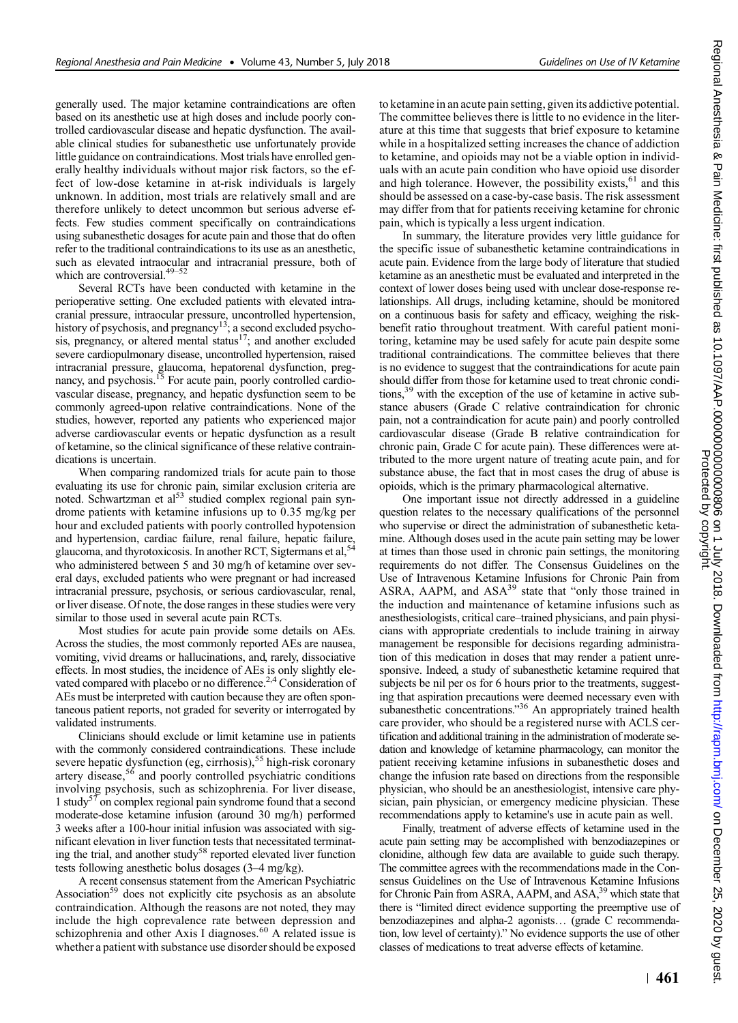generally used. The major ketamine contraindications are often based on its anesthetic use at high doses and include poorly controlled cardiovascular disease and hepatic dysfunction. The available clinical studies for subanesthetic use unfortunately provide little guidance on contraindications. Most trials have enrolled generally healthy individuals without major risk factors, so the effect of low-dose ketamine in at-risk individuals is largely unknown. In addition, most trials are relatively small and are therefore unlikely to detect uncommon but serious adverse effects. Few studies comment specifically on contraindications using subanesthetic dosages for acute pain and those that do often refer to the traditional contraindications to its use as an anesthetic, such as elevated intraocular and intracranial pressure, both of which are controversial.<sup>49-52</sup>

Several RCTs have been conducted with ketamine in the perioperative setting. One excluded patients with elevated intracranial pressure, intraocular pressure, uncontrolled hypertension, history of psychosis, and pregnancy<sup>13</sup>; a second excluded psychosis, pregnancy, or altered mental status<sup>17</sup>; and another excluded severe cardiopulmonary disease, uncontrolled hypertension, raised intracranial pressure, glaucoma, hepatorenal dysfunction, preg-nancy, and psychosis.15 For acute pain, poorly controlled cardiovascular disease, pregnancy, and hepatic dysfunction seem to be commonly agreed-upon relative contraindications. None of the studies, however, reported any patients who experienced major adverse cardiovascular events or hepatic dysfunction as a result of ketamine, so the clinical significance of these relative contraindications is uncertain.

When comparing randomized trials for acute pain to those evaluating its use for chronic pain, similar exclusion criteria are noted. Schwartzman et al<sup>53</sup> studied complex regional pain syndrome patients with ketamine infusions up to 0.35 mg/kg per hour and excluded patients with poorly controlled hypotension and hypertension, cardiac failure, renal failure, hepatic failure, glaucoma, and thyrotoxicosis. In another RCT, Sigtermans et al,54 who administered between 5 and 30 mg/h of ketamine over several days, excluded patients who were pregnant or had increased intracranial pressure, psychosis, or serious cardiovascular, renal, or liver disease. Of note, the dose ranges in these studies were very similar to those used in several acute pain RCTs.

Most studies for acute pain provide some details on AEs. Across the studies, the most commonly reported AEs are nausea, vomiting, vivid dreams or hallucinations, and, rarely, dissociative effects. In most studies, the incidence of AEs is only slightly elevated compared with placebo or no difference.<sup>2,4</sup> Consideration of AEs must be interpreted with caution because they are often spontaneous patient reports, not graded for severity or interrogated by validated instruments.

Clinicians should exclude or limit ketamine use in patients with the commonly considered contraindications. These include severe hepatic dysfunction (eg, cirrhosis),<sup>55</sup> high-risk coronary artery disease,<sup>56</sup> and poorly controlled psychiatric conditions involving psychosis, such as schizophrenia. For liver disease, 1 study<sup>57</sup> on complex regional pain syndrome found that a second moderate-dose ketamine infusion (around 30 mg/h) performed 3 weeks after a 100-hour initial infusion was associated with significant elevation in liver function tests that necessitated terminating the trial, and another study<sup>58</sup> reported elevated liver function tests following anesthetic bolus dosages (3–4 mg/kg).

A recent consensus statement from the American Psychiatric Association<sup>59</sup> does not explicitly cite psychosis as an absolute contraindication. Although the reasons are not noted, they may include the high coprevalence rate between depression and schizophrenia and other Axis I diagnoses.<sup>60</sup> A related issue is whether a patient with substance use disorder should be exposed

to ketamine in an acute pain setting, given its addictive potential. The committee believes there is little to no evidence in the literature at this time that suggests that brief exposure to ketamine while in a hospitalized setting increases the chance of addiction to ketamine, and opioids may not be a viable option in individuals with an acute pain condition who have opioid use disorder and high tolerance. However, the possibility exists,  $61$  and this should be assessed on a case-by-case basis. The risk assessment may differ from that for patients receiving ketamine for chronic pain, which is typically a less urgent indication.

In summary, the literature provides very little guidance for the specific issue of subanesthetic ketamine contraindications in acute pain. Evidence from the large body of literature that studied ketamine as an anesthetic must be evaluated and interpreted in the context of lower doses being used with unclear dose-response relationships. All drugs, including ketamine, should be monitored on a continuous basis for safety and efficacy, weighing the riskbenefit ratio throughout treatment. With careful patient monitoring, ketamine may be used safely for acute pain despite some traditional contraindications. The committee believes that there is no evidence to suggest that the contraindications for acute pain should differ from those for ketamine used to treat chronic conditions,39 with the exception of the use of ketamine in active substance abusers (Grade C relative contraindication for chronic pain, not a contraindication for acute pain) and poorly controlled cardiovascular disease (Grade B relative contraindication for chronic pain, Grade C for acute pain). These differences were attributed to the more urgent nature of treating acute pain, and for substance abuse, the fact that in most cases the drug of abuse is opioids, which is the primary pharmacological alternative.

One important issue not directly addressed in a guideline question relates to the necessary qualifications of the personnel who supervise or direct the administration of subanesthetic ketamine. Although doses used in the acute pain setting may be lower at times than those used in chronic pain settings, the monitoring requirements do not differ. The Consensus Guidelines on the Use of Intravenous Ketamine Infusions for Chronic Pain from ASRA, AAPM, and ASA<sup>39</sup> state that "only those trained in the induction and maintenance of ketamine infusions such as anesthesiologists, critical care–trained physicians, and pain physicians with appropriate credentials to include training in airway management be responsible for decisions regarding administration of this medication in doses that may render a patient unresponsive. Indeed, a study of subanesthetic ketamine required that subjects be nil per os for 6 hours prior to the treatments, suggesting that aspiration precautions were deemed necessary even with subanesthetic concentrations."<sup>36</sup> An appropriately trained health care provider, who should be a registered nurse with ACLS certification and additional training in the administration of moderate sedation and knowledge of ketamine pharmacology, can monitor the patient receiving ketamine infusions in subanesthetic doses and change the infusion rate based on directions from the responsible physician, who should be an anesthesiologist, intensive care physician, pain physician, or emergency medicine physician. These recommendations apply to ketamine's use in acute pain as well.

Finally, treatment of adverse effects of ketamine used in the acute pain setting may be accomplished with benzodiazepines or clonidine, although few data are available to guide such therapy. The committee agrees with the recommendations made in the Consensus Guidelines on the Use of Intravenous Ketamine Infusions for Chronic Pain from ASRA, AAPM, and ASA,<sup>39</sup> which state that there is "limited direct evidence supporting the preemptive use of benzodiazepines and alpha-2 agonists… (grade C recommendation, low level of certainty)." No evidence supports the use of other classes of medications to treat adverse effects of ketamine.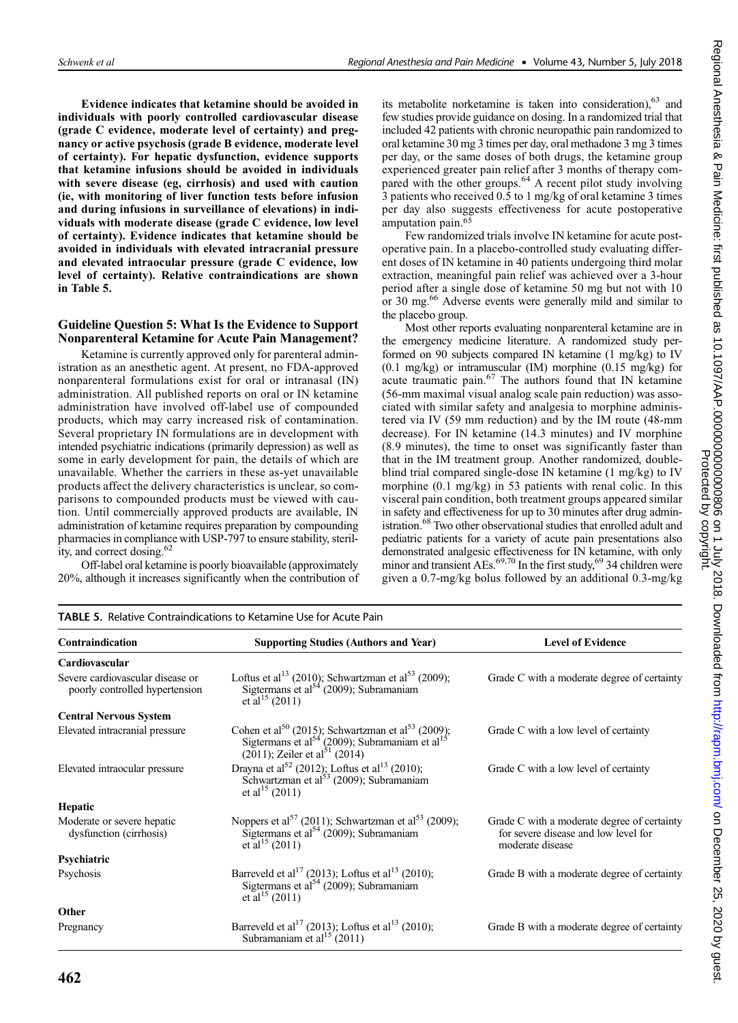Evidence indicates that ketamine should be avoided in individuals with poorly controlled cardiovascular disease (grade C evidence, moderate level of certainty) and pregnancy or active psychosis (grade B evidence, moderate level of certainty). For hepatic dysfunction, evidence supports that ketamine infusions should be avoided in individuals with severe disease (eg, cirrhosis) and used with caution (ie, with monitoring of liver function tests before infusion and during infusions in surveillance of elevations) in individuals with moderate disease (grade C evidence, low level of certainty). Evidence indicates that ketamine should be avoided in individuals with elevated intracranial pressure and elevated intraocular pressure (grade C evidence, low level of certainty). Relative contraindications are shown in Table 5.

#### Guideline Question 5: What Is the Evidence to Support Nonparenteral Ketamine for Acute Pain Management?

Ketamine is currently approved only for parenteral administration as an anesthetic agent. At present, no FDA-approved nonparenteral formulations exist for oral or intranasal (IN) administration. All published reports on oral or IN ketamine administration have involved off-label use of compounded products, which may carry increased risk of contamination. Several proprietary IN formulations are in development with intended psychiatric indications (primarily depression) as well as some in early development for pain, the details of which are unavailable. Whether the carriers in these as-yet unavailable products affect the delivery characteristics is unclear, so comparisons to compounded products must be viewed with caution. Until commercially approved products are available, IN administration of ketamine requires preparation by compounding pharmacies in compliance with USP-797 to ensure stability, sterility, and correct dosing.<sup>62</sup>

Off-label oral ketamine is poorly bioavailable (approximately 20%, although it increases significantly when the contribution of its metabolite norketamine is taken into consideration),<sup>63</sup> and few studies provide guidance on dosing. In a randomized trial that included 42 patients with chronic neuropathic pain randomized to oral ketamine 30 mg 3 times per day, oral methadone 3 mg 3 times per day, or the same doses of both drugs, the ketamine group experienced greater pain relief after 3 months of therapy compared with the other groups.<sup>64</sup> A recent pilot study involving 3 patients who received 0.5 to 1 mg/kg of oral ketamine 3 times per day also suggests effectiveness for acute postoperative amputation pain.65

Few randomized trials involve IN ketamine for acute postoperative pain. In a placebo-controlled study evaluating different doses of IN ketamine in 40 patients undergoing third molar extraction, meaningful pain relief was achieved over a 3-hour period after a single dose of ketamine 50 mg but not with 10 or 30 mg.<sup>66</sup> Adverse events were generally mild and similar to the placebo group.

Most other reports evaluating nonparenteral ketamine are in the emergency medicine literature. A randomized study performed on 90 subjects compared IN ketamine (1 mg/kg) to IV  $(0.1 \text{ mg/kg})$  or intramuscular  $(IM)$  morphine  $(0.15 \text{ mg/kg})$  for acute traumatic pain.<sup>67</sup> The authors found that IN ketamine (56-mm maximal visual analog scale pain reduction) was associated with similar safety and analgesia to morphine administered via IV (59 mm reduction) and by the IM route (48-mm decrease). For IN ketamine (14.3 minutes) and IV morphine (8.9 minutes), the time to onset was significantly faster than that in the IM treatment group. Another randomized, doubleblind trial compared single-dose IN ketamine (1 mg/kg) to IV morphine (0.1 mg/kg) in 53 patients with renal colic. In this visceral pain condition, both treatment groups appeared similar in safety and effectiveness for up to 30 minutes after drug administration.<sup>68</sup> Two other observational studies that enrolled adult and pediatric patients for a variety of acute pain presentations also demonstrated analgesic effectiveness for IN ketamine, with only minor and transient AEs.<sup>69,70</sup> In the first study,  $69$  34 children were given a 0.7-mg/kg bolus followed by an additional 0.3-mg/kg

| Contraindication                                                   | <b>Supporting Studies (Authors and Year)</b>                                                                                                                                                     | <b>Level of Evidence</b>                                                                                |
|--------------------------------------------------------------------|--------------------------------------------------------------------------------------------------------------------------------------------------------------------------------------------------|---------------------------------------------------------------------------------------------------------|
| Cardiovascular                                                     |                                                                                                                                                                                                  |                                                                                                         |
| Severe cardiovascular disease or<br>poorly controlled hypertension | Loftus et al <sup>13</sup> (2010); Schwartzman et al <sup>53</sup> (2009); Sigtermans et al <sup>54</sup> (2009); Subramaniam<br>et al <sup>15</sup> (2011)                                      | Grade C with a moderate degree of certainty                                                             |
| <b>Central Nervous System</b>                                      |                                                                                                                                                                                                  |                                                                                                         |
| Elevated intracranial pressure                                     | Cohen et al <sup>50</sup> (2015); Schwartzman et al <sup>53</sup> (2009); Sigtermans et al <sup>54</sup> (2009); Subramaniam et al <sup>15</sup><br>$(2011)$ ; Zeiler et al <sup>51</sup> (2014) | Grade C with a low level of certainty                                                                   |
| Elevated intraocular pressure                                      | Drayna et al <sup>52</sup> (2012); Loftus et al <sup>13</sup> (2010);<br>Schwartzman et al $^{53}$ (2009); Subramaniam<br>et al <sup>15</sup> (2011)                                             | Grade C with a low level of certainty                                                                   |
| Hepatic                                                            |                                                                                                                                                                                                  |                                                                                                         |
| Moderate or severe hepatic<br>dysfunction (cirrhosis)              | Noppers et al <sup>57</sup> (2011); Schwartzman et al <sup>53</sup> (2009); Sigtermans et al <sup>54</sup> (2009); Subramaniam<br>et al <sup>15</sup> (2011)                                     | Grade C with a moderate degree of certainty<br>for severe disease and low level for<br>moderate disease |
| Psychiatric                                                        |                                                                                                                                                                                                  |                                                                                                         |
| Psychosis                                                          | Barreveld et al <sup>17</sup> (2013); Loftus et al <sup>13</sup> (2010);<br>Sigtermans et al <sup>54</sup> (2009); Subramaniam<br>et al <sup>15</sup> (2011)                                     | Grade B with a moderate degree of certainty                                                             |
| <b>Other</b>                                                       |                                                                                                                                                                                                  |                                                                                                         |
| Pregnancy                                                          | Barreveld et al <sup>17</sup> (2013); Loftus et al <sup>13</sup> (2010);<br>Subramaniam et al <sup>15</sup> (2011)                                                                               | Grade B with a moderate degree of certainty                                                             |

#### TABLE 5. Relative Contraindications to Ketamine Use for Acute Pain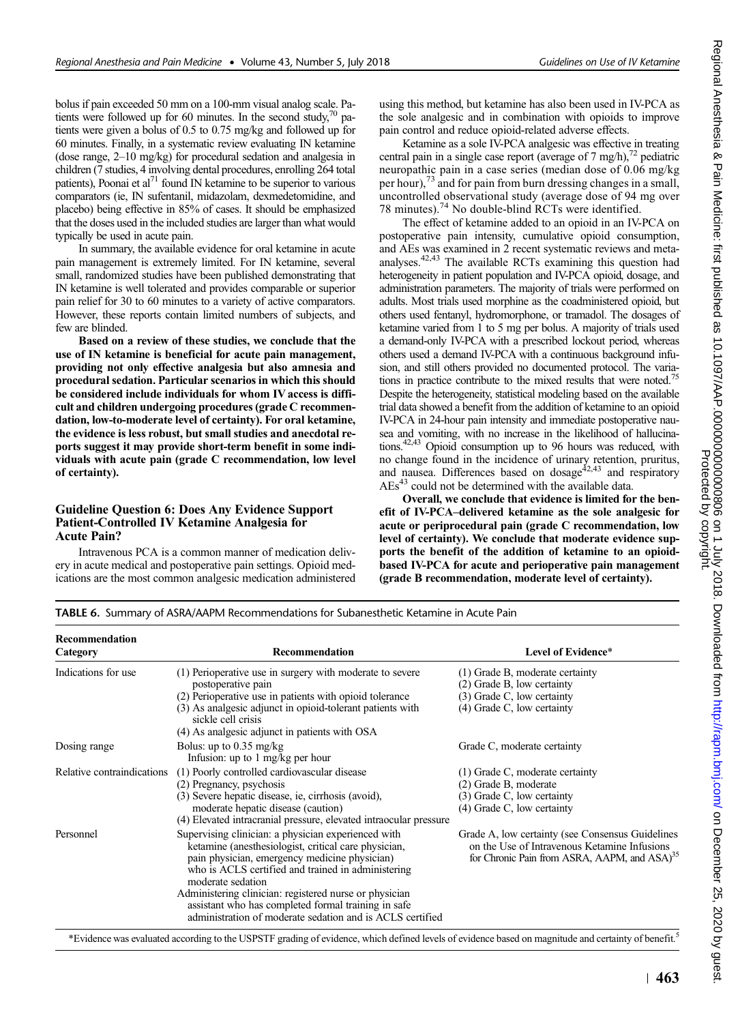bolus if pain exceeded 50 mm on a 100-mm visual analog scale. Patients were followed up for 60 minutes. In the second study, $70$  patients were given a bolus of 0.5 to 0.75 mg/kg and followed up for 60 minutes. Finally, in a systematic review evaluating IN ketamine (dose range, 2–10 mg/kg) for procedural sedation and analgesia in children (7 studies, 4 involving dental procedures, enrolling 264 total patients), Poonai et al<sup>71</sup> found IN ketamine to be superior to various comparators (ie, IN sufentanil, midazolam, dexmedetomidine, and placebo) being effective in 85% of cases. It should be emphasized that the doses used in the included studies are larger than what would typically be used in acute pain.

In summary, the available evidence for oral ketamine in acute pain management is extremely limited. For IN ketamine, several small, randomized studies have been published demonstrating that IN ketamine is well tolerated and provides comparable or superior pain relief for 30 to 60 minutes to a variety of active comparators. However, these reports contain limited numbers of subjects, and few are blinded.

Based on a review of these studies, we conclude that the use of IN ketamine is beneficial for acute pain management, providing not only effective analgesia but also amnesia and procedural sedation. Particular scenarios in which this should be considered include individuals for whom IV access is difficult and children undergoing procedures (grade C recommendation, low-to-moderate level of certainty). For oral ketamine, the evidence is less robust, but small studies and anecdotal reports suggest it may provide short-term benefit in some individuals with acute pain (grade C recommendation, low level of certainty).

#### Guideline Question 6: Does Any Evidence Support Patient-Controlled IV Ketamine Analgesia for Acute Pain?

Intravenous PCA is a common manner of medication delivery in acute medical and postoperative pain settings. Opioid medications are the most common analgesic medication administered using this method, but ketamine has also been used in IV-PCA as the sole analgesic and in combination with opioids to improve pain control and reduce opioid-related adverse effects.

Ketamine as a sole IV-PCA analgesic was effective in treating central pain in a single case report (average of  $7 \text{ mg/h}$ ),  $^{72}$  pediatric neuropathic pain in a case series (median dose of 0.06 mg/kg per hour),<sup>73</sup> and for pain from burn dressing changes in a small, uncontrolled observational study (average dose of 94 mg over 78 minutes).<sup>74</sup> No double-blind RCTs were identified.

The effect of ketamine added to an opioid in an IV-PCA on postoperative pain intensity, cumulative opioid consumption, and AEs was examined in 2 recent systematic reviews and metaanalyses.42,43 The available RCTs examining this question had heterogeneity in patient population and IV-PCA opioid, dosage, and administration parameters. The majority of trials were performed on adults. Most trials used morphine as the coadministered opioid, but others used fentanyl, hydromorphone, or tramadol. The dosages of ketamine varied from 1 to 5 mg per bolus. A majority of trials used a demand-only IV-PCA with a prescribed lockout period, whereas others used a demand IV-PCA with a continuous background infusion, and still others provided no documented protocol. The variations in practice contribute to the mixed results that were noted.75 Despite the heterogeneity, statistical modeling based on the available trial data showed a benefit from the addition of ketamine to an opioid IV-PCA in 24-hour pain intensity and immediate postoperative nausea and vomiting, with no increase in the likelihood of hallucinations.42,43 Opioid consumption up to 96 hours was reduced, with no change found in the incidence of urinary retention, pruritus, and nausea. Differences based on dosage<sup>42,43</sup> and respiratory AEs<sup>43</sup> could not be determined with the available data.

Overall, we conclude that evidence is limited for the benefit of IV-PCA–delivered ketamine as the sole analgesic for acute or periprocedural pain (grade C recommendation, low level of certainty). We conclude that moderate evidence supports the benefit of the addition of ketamine to an opioidbased IV-PCA for acute and perioperative pain management (grade B recommendation, moderate level of certainty).

| Recommendation<br>Category | Recommendation                                                                                                                                                                                                                                                                                                                                                                                                        | Level of Evidence*                                                                                                                                           |
|----------------------------|-----------------------------------------------------------------------------------------------------------------------------------------------------------------------------------------------------------------------------------------------------------------------------------------------------------------------------------------------------------------------------------------------------------------------|--------------------------------------------------------------------------------------------------------------------------------------------------------------|
| Indications for use        | (1) Perioperative use in surgery with moderate to severe<br>postoperative pain<br>(2) Perioperative use in patients with opioid tolerance<br>(3) As analgesic adjunct in opioid-tolerant patients with<br>sickle cell crisis<br>(4) As analgesic adjunct in patients with OSA                                                                                                                                         | (1) Grade B, moderate certainty<br>(2) Grade B, low certainty<br>(3) Grade C, low certainty<br>(4) Grade C, low certainty                                    |
| Dosing range               | Bolus: up to $0.35 \text{ mg/kg}$<br>Infusion: up to $1 \text{ mg/kg}$ per hour                                                                                                                                                                                                                                                                                                                                       | Grade C, moderate certainty                                                                                                                                  |
| Relative contraindications | (1) Poorly controlled cardiovascular disease<br>(2) Pregnancy, psychosis<br>(3) Severe hepatic disease, ie, cirrhosis (avoid),<br>moderate hepatic disease (caution)<br>(4) Elevated intracranial pressure, elevated intraocular pressure                                                                                                                                                                             | (1) Grade C, moderate certainty<br>(2) Grade B, moderate<br>(3) Grade C, low certainty<br>$(4)$ Grade C, low certainty                                       |
| Personnel                  | Supervising clinician: a physician experienced with<br>ketamine (anesthesiologist, critical care physician,<br>pain physician, emergency medicine physician)<br>who is ACLS certified and trained in administering<br>moderate sedation<br>Administering clinician: registered nurse or physician<br>assistant who has completed formal training in safe<br>administration of moderate sedation and is ACLS certified | Grade A, low certainty (see Consensus Guidelines<br>on the Use of Intravenous Ketamine Infusions<br>for Chronic Pain from ASRA, AAPM, and ASA) <sup>35</sup> |

TABLE 6. Summary of ASRA/AAPM Recommendations for Subanesthetic Ketamine in Acute Pain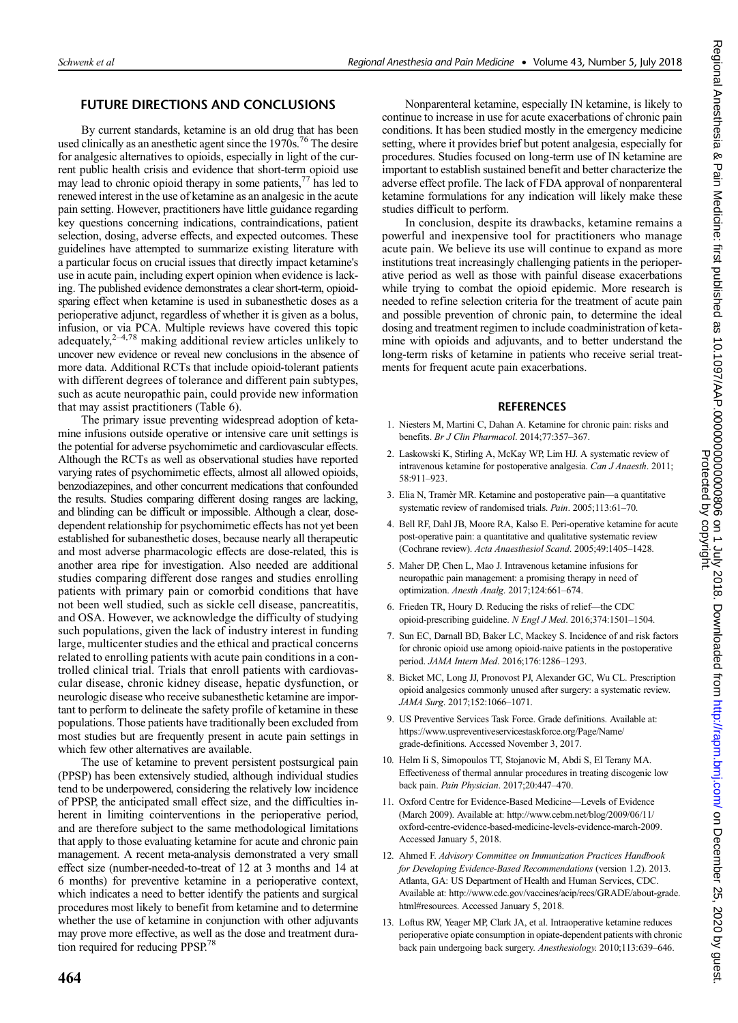### FUTURE DIRECTIONS AND CONCLUSIONS

By current standards, ketamine is an old drug that has been used clinically as an anesthetic agent since the  $1970s$ .<sup>76</sup> The desire for analgesic alternatives to opioids, especially in light of the current public health crisis and evidence that short-term opioid use may lead to chronic opioid therapy in some patients,77 has led to renewed interest in the use of ketamine as an analgesic in the acute pain setting. However, practitioners have little guidance regarding key questions concerning indications, contraindications, patient selection, dosing, adverse effects, and expected outcomes. These guidelines have attempted to summarize existing literature with a particular focus on crucial issues that directly impact ketamine's use in acute pain, including expert opinion when evidence is lacking. The published evidence demonstrates a clear short-term, opioidsparing effect when ketamine is used in subanesthetic doses as a perioperative adjunct, regardless of whether it is given as a bolus, infusion, or via PCA. Multiple reviews have covered this topic adequately, $2^{-4,78}$  making additional review articles unlikely to uncover new evidence or reveal new conclusions in the absence of more data. Additional RCTs that include opioid-tolerant patients with different degrees of tolerance and different pain subtypes, such as acute neuropathic pain, could provide new information that may assist practitioners (Table 6).

The primary issue preventing widespread adoption of ketamine infusions outside operative or intensive care unit settings is the potential for adverse psychomimetic and cardiovascular effects. Although the RCTs as well as observational studies have reported varying rates of psychomimetic effects, almost all allowed opioids, benzodiazepines, and other concurrent medications that confounded the results. Studies comparing different dosing ranges are lacking, and blinding can be difficult or impossible. Although a clear, dosedependent relationship for psychomimetic effects has not yet been established for subanesthetic doses, because nearly all therapeutic and most adverse pharmacologic effects are dose-related, this is another area ripe for investigation. Also needed are additional studies comparing different dose ranges and studies enrolling patients with primary pain or comorbid conditions that have not been well studied, such as sickle cell disease, pancreatitis, and OSA. However, we acknowledge the difficulty of studying such populations, given the lack of industry interest in funding large, multicenter studies and the ethical and practical concerns related to enrolling patients with acute pain conditions in a controlled clinical trial. Trials that enroll patients with cardiovascular disease, chronic kidney disease, hepatic dysfunction, or neurologic disease who receive subanesthetic ketamine are important to perform to delineate the safety profile of ketamine in these populations. Those patients have traditionally been excluded from most studies but are frequently present in acute pain settings in which few other alternatives are available.

The use of ketamine to prevent persistent postsurgical pain (PPSP) has been extensively studied, although individual studies tend to be underpowered, considering the relatively low incidence of PPSP, the anticipated small effect size, and the difficulties inherent in limiting cointerventions in the perioperative period, and are therefore subject to the same methodological limitations that apply to those evaluating ketamine for acute and chronic pain management. A recent meta-analysis demonstrated a very small effect size (number-needed-to-treat of 12 at 3 months and 14 at 6 months) for preventive ketamine in a perioperative context, which indicates a need to better identify the patients and surgical procedures most likely to benefit from ketamine and to determine whether the use of ketamine in conjunction with other adjuvants may prove more effective, as well as the dose and treatment duration required for reducing PPSP.78

Nonparenteral ketamine, especially IN ketamine, is likely to continue to increase in use for acute exacerbations of chronic pain conditions. It has been studied mostly in the emergency medicine setting, where it provides brief but potent analgesia, especially for procedures. Studies focused on long-term use of IN ketamine are important to establish sustained benefit and better characterize the adverse effect profile. The lack of FDA approval of nonparenteral ketamine formulations for any indication will likely make these studies difficult to perform.

In conclusion, despite its drawbacks, ketamine remains a powerful and inexpensive tool for practitioners who manage acute pain. We believe its use will continue to expand as more institutions treat increasingly challenging patients in the perioperative period as well as those with painful disease exacerbations while trying to combat the opioid epidemic. More research is needed to refine selection criteria for the treatment of acute pain and possible prevention of chronic pain, to determine the ideal dosing and treatment regimen to include coadministration of ketamine with opioids and adjuvants, and to better understand the long-term risks of ketamine in patients who receive serial treatments for frequent acute pain exacerbations.

#### **REFERENCES**

- 1. Niesters M, Martini C, Dahan A. Ketamine for chronic pain: risks and benefits. Br J Clin Pharmacol. 2014;77:357–367.
- 2. Laskowski K, Stirling A, McKay WP, Lim HJ. A systematic review of intravenous ketamine for postoperative analgesia. Can J Anaesth. 2011; 58:911–923.
- 3. Elia N, Tramèr MR. Ketamine and postoperative pain—a quantitative systematic review of randomised trials. Pain. 2005;113:61–70.
- 4. Bell RF, Dahl JB, Moore RA, Kalso E. Peri-operative ketamine for acute post-operative pain: a quantitative and qualitative systematic review (Cochrane review). Acta Anaesthesiol Scand. 2005;49:1405–1428.
- 5. Maher DP, Chen L, Mao J. Intravenous ketamine infusions for neuropathic pain management: a promising therapy in need of optimization. Anesth Analg. 2017;124:661–674.
- 6. Frieden TR, Houry D. Reducing the risks of relief—the CDC opioid-prescribing guideline. N Engl J Med. 2016;374:1501–1504.
- 7. Sun EC, Darnall BD, Baker LC, Mackey S. Incidence of and risk factors for chronic opioid use among opioid-naive patients in the postoperative period. JAMA Intern Med. 2016;176:1286–1293.
- 8. Bicket MC, Long JJ, Pronovost PJ, Alexander GC, Wu CL. Prescription opioid analgesics commonly unused after surgery: a systematic review. JAMA Surg. 2017;152:1066–1071.
- 9. US Preventive Services Task Force. Grade definitions. Available at: [https://www.uspreventiveservicestaskforce.org/Page/Name/](https://www.uspreventiveservicestaskforce.org/Page/Name/grade-definitions) [grade-definitions](https://www.uspreventiveservicestaskforce.org/Page/Name/grade-definitions). Accessed November 3, 2017.
- 10. Helm Ii S, Simopoulos TT, Stojanovic M, Abdi S, El Terany MA. Effectiveness of thermal annular procedures in treating discogenic low back pain. Pain Physician. 2017;20:447–470.
- 11. Oxford Centre for Evidence-Based Medicine—Levels of Evidence (March 2009). Available at: [http://www.cebm.net/blog/2009/06/11/](http://www.cebm.net/blog/2009/06/11/oxford-centre-evidence-based-medicine-levels-evidence-march-2009) [oxford-centre-evidence-based-medicine-levels-evidence-march-2009](http://www.cebm.net/blog/2009/06/11/oxford-centre-evidence-based-medicine-levels-evidence-march-2009). Accessed January 5, 2018.
- 12. Ahmed F. Advisory Committee on Immunization Practices Handbook for Developing Evidence-Based Recommendations (version 1.2). 2013. Atlanta, GA: US Department of Health and Human Services, CDC. Available at: [http://www.cdc.gov/vaccines/acip/recs/GRADE/about-grade.](http://www.cdc.gov/vaccines/acip/recs/GRADE/about-grade.html#resources) [html#resources.](http://www.cdc.gov/vaccines/acip/recs/GRADE/about-grade.html#resources) Accessed January 5, 2018.
- 13. Loftus RW, Yeager MP, Clark JA, et al. Intraoperative ketamine reduces perioperative opiate consumption in opiate-dependent patients with chronic back pain undergoing back surgery. Anesthesiology. 2010;113:639–646.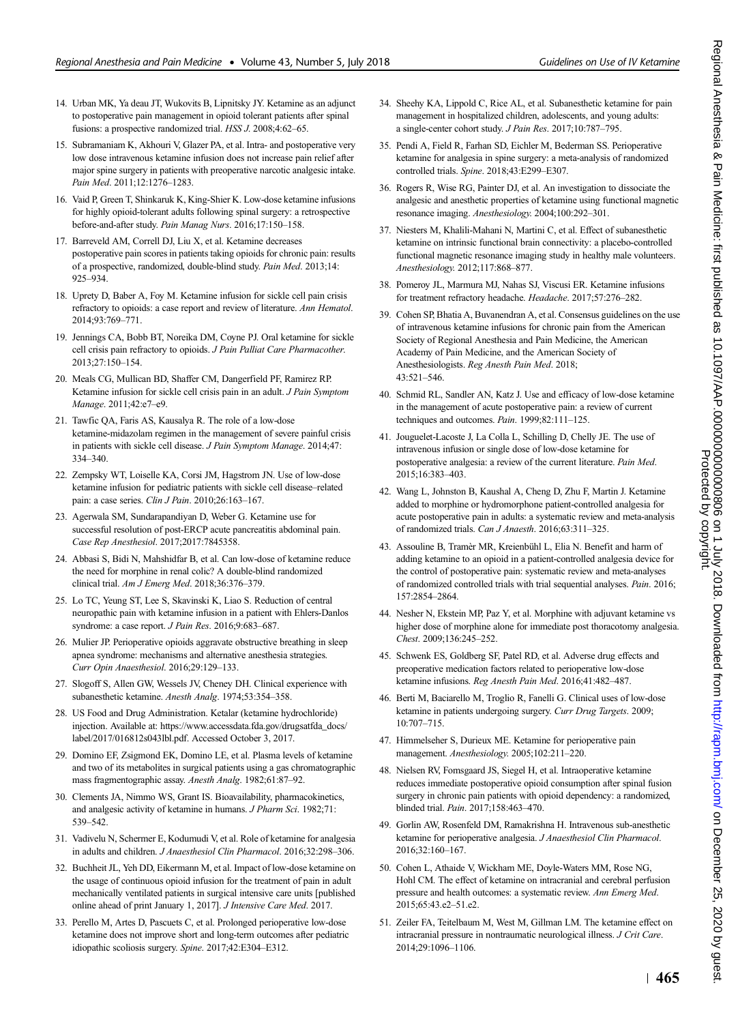- 14. Urban MK, Ya deau JT, Wukovits B, Lipnitsky JY. Ketamine as an adjunct to postoperative pain management in opioid tolerant patients after spinal fusions: a prospective randomized trial. HSS J. 2008;4:62–65.
- 15. Subramaniam K, Akhouri V, Glazer PA, et al. Intra- and postoperative very low dose intravenous ketamine infusion does not increase pain relief after major spine surgery in patients with preoperative narcotic analgesic intake. Pain Med. 2011;12:1276–1283.
- 16. Vaid P, Green T, Shinkaruk K, King-Shier K. Low-dose ketamine infusions for highly opioid-tolerant adults following spinal surgery: a retrospective before-and-after study. Pain Manag Nurs. 2016;17:150–158.
- 17. Barreveld AM, Correll DJ, Liu X, et al. Ketamine decreases postoperative pain scores in patients taking opioids for chronic pain: results of a prospective, randomized, double-blind study. Pain Med. 2013;14: 925–934.
- 18. Uprety D, Baber A, Foy M. Ketamine infusion for sickle cell pain crisis refractory to opioids: a case report and review of literature. Ann Hematol. 2014;93:769–771.
- 19. Jennings CA, Bobb BT, Noreika DM, Coyne PJ. Oral ketamine for sickle cell crisis pain refractory to opioids. J Pain Palliat Care Pharmacother. 2013;27:150–154.
- 20. Meals CG, Mullican BD, Shaffer CM, Dangerfield PF, Ramirez RP. Ketamine infusion for sickle cell crisis pain in an adult. J Pain Symptom Manage. 2011;42:e7–e9.
- 21. Tawfic QA, Faris AS, Kausalya R. The role of a low-dose ketamine-midazolam regimen in the management of severe painful crisis in patients with sickle cell disease. J Pain Symptom Manage. 2014;47: 334–340.
- 22. Zempsky WT, Loiselle KA, Corsi JM, Hagstrom JN. Use of low-dose ketamine infusion for pediatric patients with sickle cell disease–related pain: a case series. Clin J Pain. 2010;26:163–167.
- 23. Agerwala SM, Sundarapandiyan D, Weber G. Ketamine use for successful resolution of post-ERCP acute pancreatitis abdominal pain. Case Rep Anesthesiol. 2017;2017:7845358.
- 24. Abbasi S, Bidi N, Mahshidfar B, et al. Can low-dose of ketamine reduce the need for morphine in renal colic? A double-blind randomized clinical trial. Am J Emerg Med. 2018;36:376–379.
- 25. Lo TC, Yeung ST, Lee S, Skavinski K, Liao S. Reduction of central neuropathic pain with ketamine infusion in a patient with Ehlers-Danlos syndrome: a case report. J Pain Res. 2016;9:683-687.
- 26. Mulier JP. Perioperative opioids aggravate obstructive breathing in sleep apnea syndrome: mechanisms and alternative anesthesia strategies. Curr Opin Anaesthesiol. 2016;29:129–133.
- 27. Slogoff S, Allen GW, Wessels JV, Cheney DH. Clinical experience with subanesthetic ketamine. Anesth Analg. 1974;53:354–358.
- 28. US Food and Drug Administration. Ketalar (ketamine hydrochloride) injection. Available at: [https://www.accessdata.fda.gov/drugsatfda\\_docs/](https://www.accessdata.fda.gov/drugsatfda_docs/label/2017/016812s043lbl.pdf) [label/2017/016812s043lbl.pdf](https://www.accessdata.fda.gov/drugsatfda_docs/label/2017/016812s043lbl.pdf). Accessed October 3, 2017.
- 29. Domino EF, Zsigmond EK, Domino LE, et al. Plasma levels of ketamine and two of its metabolites in surgical patients using a gas chromatographic mass fragmentographic assay. Anesth Analg. 1982;61:87–92.
- 30. Clements JA, Nimmo WS, Grant IS. Bioavailability, pharmacokinetics, and analgesic activity of ketamine in humans. J Pharm Sci. 1982;71: 539–542.
- 31. Vadivelu N, Schermer E, Kodumudi V, et al. Role of ketamine for analgesia in adults and children. J Anaesthesiol Clin Pharmacol. 2016;32:298–306.
- 32. Buchheit JL, Yeh DD, Eikermann M, et al. Impact of low-dose ketamine on the usage of continuous opioid infusion for the treatment of pain in adult mechanically ventilated patients in surgical intensive care units [published online ahead of print January 1, 2017]. J Intensive Care Med. 2017.
- 33. Perello M, Artes D, Pascuets C, et al. Prolonged perioperative low-dose ketamine does not improve short and long-term outcomes after pediatric idiopathic scoliosis surgery. Spine. 2017;42:E304–E312.
- 34. Sheehy KA, Lippold C, Rice AL, et al. Subanesthetic ketamine for pain management in hospitalized children, adolescents, and young adults: a single-center cohort study. J Pain Res. 2017;10:787–795.
- 35. Pendi A, Field R, Farhan SD, Eichler M, Bederman SS. Perioperative ketamine for analgesia in spine surgery: a meta-analysis of randomized controlled trials. Spine. 2018;43:E299–E307.
- 36. Rogers R, Wise RG, Painter DJ, et al. An investigation to dissociate the analgesic and anesthetic properties of ketamine using functional magnetic resonance imaging. Anesthesiology. 2004;100:292–301.
- 37. Niesters M, Khalili-Mahani N, Martini C, et al. Effect of subanesthetic ketamine on intrinsic functional brain connectivity: a placebo-controlled functional magnetic resonance imaging study in healthy male volunteers. Anesthesiology. 2012;117:868–877.
- 38. Pomeroy JL, Marmura MJ, Nahas SJ, Viscusi ER. Ketamine infusions for treatment refractory headache. Headache. 2017;57:276–282.
- 39. Cohen SP, Bhatia A, Buvanendran A, et al. Consensus guidelines on the use of intravenous ketamine infusions for chronic pain from the American Society of Regional Anesthesia and Pain Medicine, the American Academy of Pain Medicine, and the American Society of Anesthesiologists. Reg Anesth Pain Med. 2018; 43:521–546.
- 40. Schmid RL, Sandler AN, Katz J. Use and efficacy of low-dose ketamine in the management of acute postoperative pain: a review of current techniques and outcomes. Pain. 1999;82:111–125.
- 41. Jouguelet-Lacoste J, La Colla L, Schilling D, Chelly JE. The use of intravenous infusion or single dose of low-dose ketamine for postoperative analgesia: a review of the current literature. Pain Med. 2015;16:383–403.
- 42. Wang L, Johnston B, Kaushal A, Cheng D, Zhu F, Martin J. Ketamine added to morphine or hydromorphone patient-controlled analgesia for acute postoperative pain in adults: a systematic review and meta-analysis of randomized trials. Can J Anaesth. 2016;63:311–325.
- 43. Assouline B, Tramèr MR, Kreienbühl L, Elia N. Benefit and harm of adding ketamine to an opioid in a patient-controlled analgesia device for the control of postoperative pain: systematic review and meta-analyses of randomized controlled trials with trial sequential analyses. Pain. 2016; 157:2854–2864.
- 44. Nesher N, Ekstein MP, Paz Y, et al. Morphine with adjuvant ketamine vs higher dose of morphine alone for immediate post thoracotomy analgesia. Chest. 2009;136:245–252.
- 45. Schwenk ES, Goldberg SF, Patel RD, et al. Adverse drug effects and preoperative medication factors related to perioperative low-dose ketamine infusions. Reg Anesth Pain Med. 2016;41:482–487.
- 46. Berti M, Baciarello M, Troglio R, Fanelli G. Clinical uses of low-dose ketamine in patients undergoing surgery. Curr Drug Targets. 2009; 10:707–715.
- 47. Himmelseher S, Durieux ME. Ketamine for perioperative pain management. Anesthesiology. 2005;102:211–220.
- 48. Nielsen RV, Fomsgaard JS, Siegel H, et al. Intraoperative ketamine reduces immediate postoperative opioid consumption after spinal fusion surgery in chronic pain patients with opioid dependency: a randomized, blinded trial. Pain. 2017;158:463–470.
- 49. Gorlin AW, Rosenfeld DM, Ramakrishna H. Intravenous sub-anesthetic ketamine for perioperative analgesia. J Anaesthesiol Clin Pharmacol. 2016;32:160–167.
- 50. Cohen L, Athaide V, Wickham ME, Doyle-Waters MM, Rose NG, Hohl CM. The effect of ketamine on intracranial and cerebral perfusion pressure and health outcomes: a systematic review. Ann Emerg Med. 2015;65:43.e2–51.e2.
- 51. Zeiler FA, Teitelbaum M, West M, Gillman LM. The ketamine effect on intracranial pressure in nontraumatic neurological illness. J Crit Care. 2014;29:1096–1106.